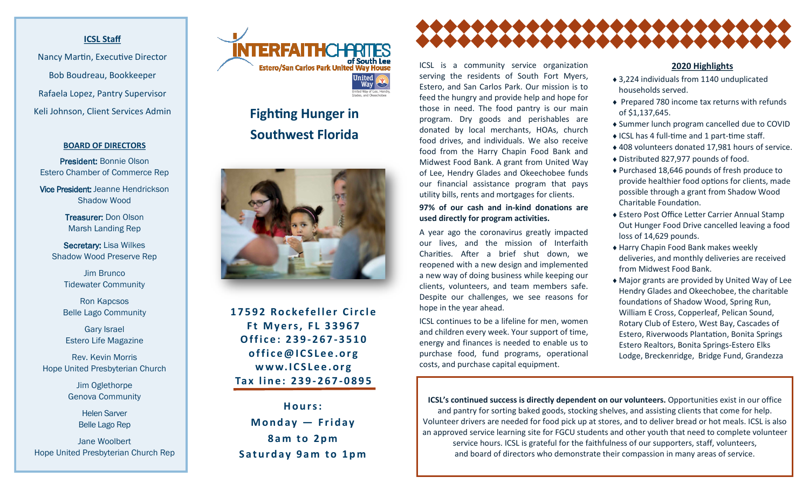## **ICSL Staff**

Nancy Martin, Executive Director Bob Boudreau, Bookkeeper Rafaela Lopez, Pantry Supervisor Keli Johnson, Client Services Admin

#### **BOARD OF DIRECTORS**

President: Bonnie Olson Estero Chamber of Commerce Rep

Vice President: Jeanne Hendrickson Shadow Wood

> Treasurer: Don Olson Marsh Landing Rep

Secretary: Lisa Wilkes Shadow Wood Preserve Rep

> **Jim Brunco** Tidewater Community

Ron Kapcsos Belle Lago Community

Gary Israel Estero Life Magazine

Rev. Kevin Morris Hope United Presbyterian Church

> Jim Oglethorpe Genova Community

> > Helen Sarver Belle Lago Rep

Jane Woolbert Hope United Presbyterian Church Rep



# **Fighting Hunger in Southwest Florida**



17592 Rockefeller Circle **Ft Myers, FL 33967 O f f i c e : 2 3 9 - 267 - 3510 o f f i c e @ I C S L e e . o r g w w w. I C S L e e . o r g Ta x l i n e : 2 3 9 - 2 6 7 - 0895**

**H o u r s : M o n d a y — F r i d ay 8 a m t o 2 p m Saturday 9am to 1pm** 



ICSL is a community service organization serving the residents of South Fort Myers, Estero, and San Carlos Park. Our mission is to feed the hungry and provide help and hope for those in need. The food pantry is our main program. Dry goods and perishables are donated by local merchants, HOAs, church food drives, and individuals. We also receive food from the Harry Chapin Food Bank and Midwest Food Bank. A grant from United Way of Lee, Hendry Glades and Okeechobee funds our financial assistance program that pays utility bills, rents and mortgages for clients.

## **97% of our cash and in-kind donations are used directly for program activities.**

A year ago the coronavirus greatly impacted our lives, and the mission of Interfaith Charities. After a brief shut down, we reopened with a new design and implemented a new way of doing business while keeping our clients, volunteers, and team members safe. Despite our challenges, we see reasons for hope in the year ahead.

ICSL continues to be a lifeline for men, women and children every week. Your support of time, energy and finances is needed to enable us to purchase food, fund programs, operational costs, and purchase capital equipment.

#### **2020 Highlights**

- 3,224 individuals from 1140 unduplicated households served.
- ◆ Prepared 780 income tax returns with refunds of \$1,137,645.
- Summer lunch program cancelled due to COVID
- $\triangle$  ICSL has 4 full-time and 1 part-time staff.
- 408 volunteers donated 17,981 hours of service.
- Distributed 827,977 pounds of food.
- ◆ Purchased 18,646 pounds of fresh produce to provide healthier food options for clients, made possible through a grant from Shadow Wood Charitable Foundation.
- Estero Post Office Letter Carrier Annual Stamp Out Hunger Food Drive cancelled leaving a food loss of 14,629 pounds.
- Harry Chapin Food Bank makes weekly deliveries, and monthly deliveries are received from Midwest Food Bank.
- Major grants are provided by United Way of Lee Hendry Glades and Okeechobee, the charitable foundations of Shadow Wood, Spring Run, William E Cross, Copperleaf, Pelican Sound, Rotary Club of Estero, West Bay, Cascades of Estero, Riverwoods Plantation, Bonita Springs Estero Realtors, Bonita Springs-Estero Elks Lodge, Breckenridge, Bridge Fund, Grandezza

**ICSL's continued success is directly dependent on our volunteers.** Opportunities exist in our office and pantry for sorting baked goods, stocking shelves, and assisting clients that come for help. Volunteer drivers are needed for food pick up at stores, and to deliver bread or hot meals. ICSL is also an approved service learning site for FGCU students and other youth that need to complete volunteer service hours. ICSL is grateful for the faithfulness of our supporters, staff, volunteers, and board of directors who demonstrate their compassion in many areas of service.